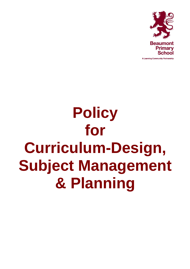

A Learning Community Partnership

# **Policy for Curriculum-Design, Subject Management & Planning**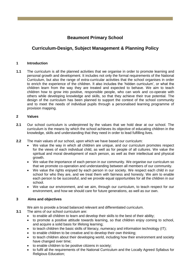# **Beaumont Primary School**

# **Curriculum-Design, Subject Management & Planning Policy**

## **1 Introduction**

**1.1** The curriculum is all the planned activities that we organise in order to promote learning and personal growth and development. It includes not only the formal requirements of the National Curriculum, but also the range of extra-curricular activities that the school organises in order to enrich the experience of the children. It also includes the 'hidden curriculum', or what the children learn from the way they are treated and expected to behave. We aim to teach children how to grow into positive, responsible people, who can work and co-operate with others while developing knowledge and skills, so that they achieve their true potential. The design of the curriculum has been planned to support the context of the school community and to meet the needs of individual pupils through a personalised learning programme of provision mapping.

# **2 Values**

- **2.1** Our school curriculum is underpinned by the values that we hold dear at our school. The curriculum is the means by which the school achieves its objective of educating children in the knowledge, skills and understanding that they need in order to lead fulfilling lives.
- **2.2** The main values of our school, upon which we have based our curriculum:
	- We value the way in which all children are unique, and our curriculum promotes respect for the views of each individual child, as well as for people of all cultures. We value the spiritual and moral development of each person, as well as their intellectual and physical growth.
	- We value the importance of each person in our community. We organise our curriculum so that we promote co-operation and understanding between all members of our community.
	- We value the rights enjoyed by each person in our society. We respect each child in our school for who they are, and we treat them with fairness and honesty. We aim to enable each person to be successful, and we provide equal opportunities for all the children in our school.
	- We value our environment, and we aim, through our curriculum, to teach respect for our environment, and how we should care for future generations, as well as our own.

#### **3 Aims and objectives**

We aim to provide a broad balanced relevant and differentiated curriculum.

- **3.1** The aims of our school curriculum are:
	- to enable all children to learn and develop their skills to the best of their ability;
	- to promote a positive attitude towards learning, so that children enjoy coming to school, and acquire a solid basis for lifelong learning;
	- to teach children the basic skills of literacy, numeracy and information technology (IT);
	- to enable children to be creative and to develop their own thinking;
	- to teach children about their developing world, including how their environment and society have changed over time;
	- to enable children to be positive citizens in society;
	- to fulfil all the requirements of the National Curriculum and the Locally Agreed Syllabus for Religious Education;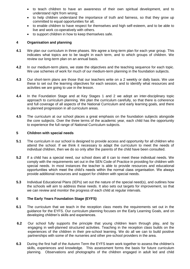- to teach children to have an awareness of their own spiritual development, and to understand right from wrong;
- to help children understand the importance of truth and fairness, so that they grow up committed to equal opportunities for all;
- to enable children to have respect for themselves and high self-esteem, and to be able to live and work co-operatively with others.
- to support children in how to keep themselves safe.

## **4 Organisation and planning**

- **4.1** We plan our curriculum in three phases. We agree a long-term plan for each year group. This indicates what topics are to be taught in each term, and to which groups of children. We review our long-term plan on an annual basis.
- **4.2** In our medium-term plans, we state the objectives and the teaching sequence for each topic. We use schemes of work for much of our medium-term planning in the foundation subjects.
- **4.3** Our short-term plans are those that our teachers write on a 2 weekly or daily basis. We use these to set out the learning objectives for each session, and to identify what resources and activities we are going to use in the lesson.
- **4.4** In the Foundation Stage and at Key Stages 1 and 2 we adopt an inter-disciplinary topic approach to curriculum planning. We plan the curriculum carefully, so that there is coherence and full coverage of all aspects of the National Curriculum and early learning goals, and there is planned progression in all curriculum areas.
- **4.5** The curriculum at our school places a great emphasis on the foundation subjects alongside the core subjects. Over the three terms of the academic year, each child has the opportunity to experience the full range of National Curriculum subjects.

#### **5 Children with special needs**

- **5.1** The curriculum in our school is designed to provide access and opportunity for all children who attend the school. If we think it necessary to adapt the curriculum to meet the needs of individual children, then we do so only after the parents of the child have been consulted.
- **5.2** If a child has a special need, our school does all it can to meet these individual needs. We comply with the requirements set out in the SEN Code of Practice in providing for children with special needs. In most instances the teacher is able to provide resources and educational opportunities which meet the child's needs within the normal class organisation. We always provide additional resources and support for children with special needs.
- **5.3** Individual Educational Plans (IEPs) set out the nature of the special need(s), and outlines how the schools will aim to address these needs. It also sets out targets for improvement, so that we can review and monitor the progress of each child at regular intervals.

#### **6 The Early Years Foundation Stage (EYFS)**

- **6.1** The curriculum that we teach in the reception class meets the requirements set out in the guidance for the EYFS. Our curriculum planning focuses on the Early Learning Goals, and on developing children's skills and experiences.
- **6.2** Our school fully supports the principle that young children learn through play, and by engaging in well-planned structured activities. Teaching in the reception class builds on the experiences of the children in their pre-school learning. We do all we can to build positive partnerships with some of the nurseries and other pre-school providers in the area.
- **6.3** During the first half of the Autumn Term the EYFS team work together to assess the children's skills, experiences and knowledge. This assessment forms the basis for future curriculum planning. Observations and photographs of the children engaged in adult led and child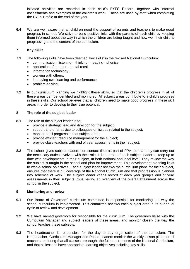initiated activities are recorded in each child's EYFS Record, together with informal assessments and examples of the children's work. These are used by staff when completing the EYFS Profile at the end of the year.

**6.4** We are well aware that all children need the support of parents and teachers to make good progress in school. We strive to build positive links with the parents of each child by keeping them informed about the way in which the children are being taught and how well their child is progressing and the content of the curriculum.

# **7 Key skills**

- **7.1** The following skills have been deemed 'key skills' in the revised National Curriculum:
	- communication; listening thinking reading phonics
	- application of number; mental recall
	- information technology;
	- working with others;
	- improving own learning and performance;
	- problem-solving.
- **7.2** In our curriculum planning we highlight these skills, so that the children's progress in all of these areas can be identified and monitored. All subject areas contribute to a child's progress in these skills. Our school believes that all children need to make good progress in these skill areas in order to develop to their true potential.

#### **8 The role of the subject leader**

- **8.1** The role of the subject leader is to:
	- provide a strategic lead and direction for the subject;
	- support and offer advice to colleagues on issues related to the subject;
	- monitor pupil progress in that subject area;
	- provide efficient resource management for the subject;
	- provide class teachers with end of year assessments in their subject.
- **8.2** The school gives subject leaders non-contact time as part of PPA, so that they can carry out the necessary duties involved with their role. It is the role of each subject leader to keep up to date with developments in their subject, at both national and local level. They review the way the subject is taught in the school and plan for improvement. This development planning links to whole-school objectives. Each subject leader reviews the curriculum plans for their subject, ensures that there is full coverage of the National Curriculum and that progression is planned into schemes of work. The subject leader keeps record of each year group's end of year assessments in their subjects, thus having an overview of the overall attainment across the school in the subject.

#### **9 Monitoring and review**

- **9.1** Our Board of Governors' curriculum committee is responsible for monitoring the way the school curriculum is implemented. This committee reviews each subject area in its bi-annual cycle of review and development.
- **9.2** We have named governors for responsible for the curriculum. The governors liaise with the Curriculum Manager and subject leaders of these areas, and monitor closely the way the school teaches these subjects.
- **9.3** The headteacher is responsible for the day to day organisation of the curriculum. The Headteacher, Curriculum Manager and Phase Leaders monitor the weekly lesson plans for all teachers, ensuring that all classes are taught the full requirements of the National Curriculum, and that all lessons have appropriate learning objectives including key skills.